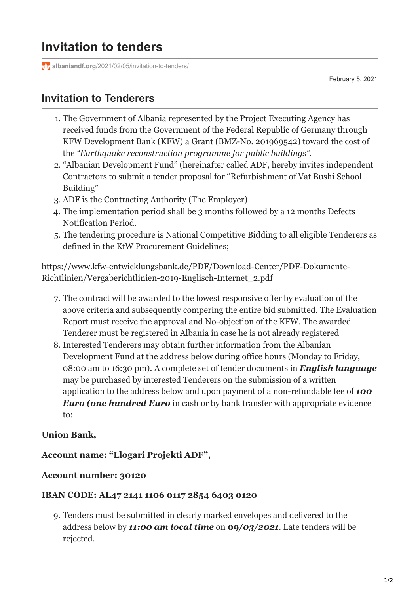**albaniandf.org**[/2021/02/05/invitation-to-tenders/](https://www.albaniandf.org/2021/02/05/invitation-to-tenders/)

February 5, 2021

## **Invitation to Tenderers**

- 1. The Government of Albania represented by the Project Executing Agency has received funds from the Government of the Federal Republic of Germany through KFW Development Bank (KFW) a Grant (BMZ-No. 201969542) toward the cost of the *"Earthquake reconstruction programme for public buildings".*
- 2. "Albanian Development Fund" (hereinafter called ADF, hereby invites independent Contractors to submit a tender proposal for "Refurbishment of Vat Bushi School Building"
- 3. ADF is the Contracting Authority (The Employer)
- 4. The implementation period shall be 3 months followed by a 12 months Defects Notification Period.
- 5. The tendering procedure is National Competitive Bidding to all eligible Tenderers as defined in the KfW Procurement Guidelines;

## [https://www.kfw-entwicklungsbank.de/PDF/Download-Center/PDF-Dokumente-](https://www.kfw-entwicklungsbank.de/PDF/Download-Center/PDF-Dokumente-Richtlinien/Vergaberichtlinien-2019-Englisch-Internet_2.pdf)Richtlinien/Vergaberichtlinien-2019-Englisch-Internet\_2.pdf

- 7. The contract will be awarded to the lowest responsive offer by evaluation of the above criteria and subsequently compering the entire bid submitted. The Evaluation Report must receive the approval and No-objection of the KFW. The awarded Tenderer must be registered in Albania in case he is not already registered
- 8. Interested Tenderers may obtain further information from the Albanian Development Fund at the address below during office hours (Monday to Friday, 08:00 am to 16:30 pm). A complete set of tender documents in *English language* may be purchased by interested Tenderers on the submission of a written application to the address below and upon payment of a non-refundable fee of *100 Euro (one hundred Euro* in cash or by bank transfer with appropriate evidence to:

## **Union Bank,**

**Account name: "Llogari Projekti ADF",**

### **Account number: 30120**

#### **IBAN CODE: AL47 2141 1106 0117 2854 6403 0120**

9. Tenders must be submitted in clearly marked envelopes and delivered to the address below by *11:00 am local time* on **09***/03/2021*. Late tenders will be rejected.